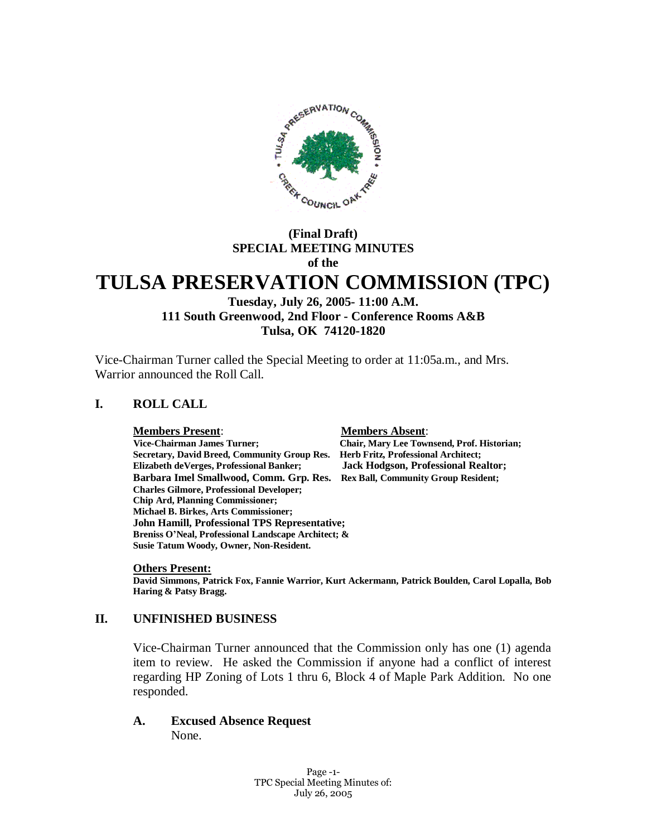

## **(Final Draft) SPECIAL MEETING MINUTES of the**

# **TULSA PRESERVATION COMMISSION (TPC)**

#### **Tuesday, July 26, 2005- 11:00 A.M. 111 South Greenwood, 2nd Floor - Conference Rooms A&B Tulsa, OK 74120-1820**

Vice-Chairman Turner called the Special Meeting to order at 11:05a.m., and Mrs. Warrior announced the Roll Call.

## **I. ROLL CALL**

**Members Present**: **Members Absent**:  **Vice-Chairman James Turner; Chair, Mary Lee Townsend, Prof. Historian; Secretary, David Breed, Community Group Res. Herb Fritz, Professional Architect; Elizabeth deVerges, Professional Banker; Jack Hodgson, Professional Realtor; Barbara Imel Smallwood, Comm. Grp. Res. Rex Ball, Community Group Resident; Charles Gilmore, Professional Developer; Chip Ard, Planning Commissioner; Michael B. Birkes, Arts Commissioner; John Hamill, Professional TPS Representative; Breniss O'Neal, Professional Landscape Architect; & Susie Tatum Woody, Owner, Non-Resident.**

#### **Others Present:**

**David Simmons, Patrick Fox, Fannie Warrior, Kurt Ackermann, Patrick Boulden, Carol Lopalla, Bob Haring & Patsy Bragg.**

#### **II. UNFINISHED BUSINESS**

Vice-Chairman Turner announced that the Commission only has one (1) agenda item to review. He asked the Commission if anyone had a conflict of interest regarding HP Zoning of Lots 1 thru 6, Block 4 of Maple Park Addition. No one responded.

**A. Excused Absence Request** None.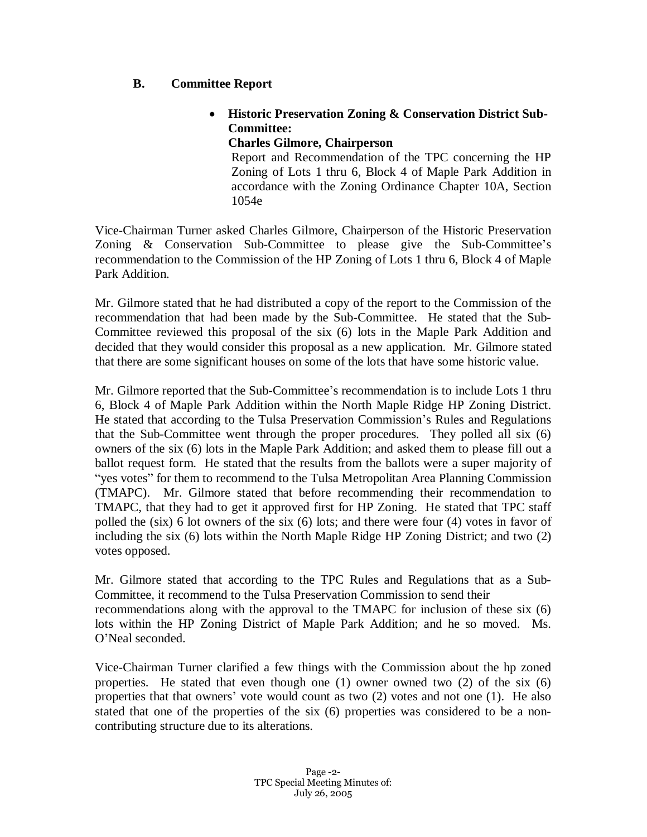#### **B. Committee Report**

## **Historic Preservation Zoning & Conservation District Sub-Committee:**

**Charles Gilmore, Chairperson**

Report and Recommendation of the TPC concerning the HP Zoning of Lots 1 thru 6, Block 4 of Maple Park Addition in accordance with the Zoning Ordinance Chapter 10A, Section 1054e

Vice-Chairman Turner asked Charles Gilmore, Chairperson of the Historic Preservation Zoning & Conservation Sub-Committee to please give the Sub-Committee's recommendation to the Commission of the HP Zoning of Lots 1 thru 6, Block 4 of Maple Park Addition.

Mr. Gilmore stated that he had distributed a copy of the report to the Commission of the recommendation that had been made by the Sub-Committee. He stated that the Sub-Committee reviewed this proposal of the six (6) lots in the Maple Park Addition and decided that they would consider this proposal as a new application. Mr. Gilmore stated that there are some significant houses on some of the lots that have some historic value.

Mr. Gilmore reported that the Sub-Committee's recommendation is to include Lots 1 thru 6, Block 4 of Maple Park Addition within the North Maple Ridge HP Zoning District. He stated that according to the Tulsa Preservation Commission's Rules and Regulations that the Sub-Committee went through the proper procedures. They polled all six (6) owners of the six (6) lots in the Maple Park Addition; and asked them to please fill out a ballot request form. He stated that the results from the ballots were a super majority of "yes votes" for them to recommend to the Tulsa Metropolitan Area Planning Commission (TMAPC). Mr. Gilmore stated that before recommending their recommendation to TMAPC, that they had to get it approved first for HP Zoning. He stated that TPC staff polled the (six) 6 lot owners of the six (6) lots; and there were four (4) votes in favor of including the six (6) lots within the North Maple Ridge HP Zoning District; and two (2) votes opposed.

Mr. Gilmore stated that according to the TPC Rules and Regulations that as a Sub-Committee, it recommend to the Tulsa Preservation Commission to send their recommendations along with the approval to the TMAPC for inclusion of these six (6) lots within the HP Zoning District of Maple Park Addition; and he so moved. Ms. O'Neal seconded.

Vice-Chairman Turner clarified a few things with the Commission about the hp zoned properties. He stated that even though one (1) owner owned two (2) of the six (6) properties that that owners' vote would count as two (2) votes and not one (1). He also stated that one of the properties of the six (6) properties was considered to be a noncontributing structure due to its alterations.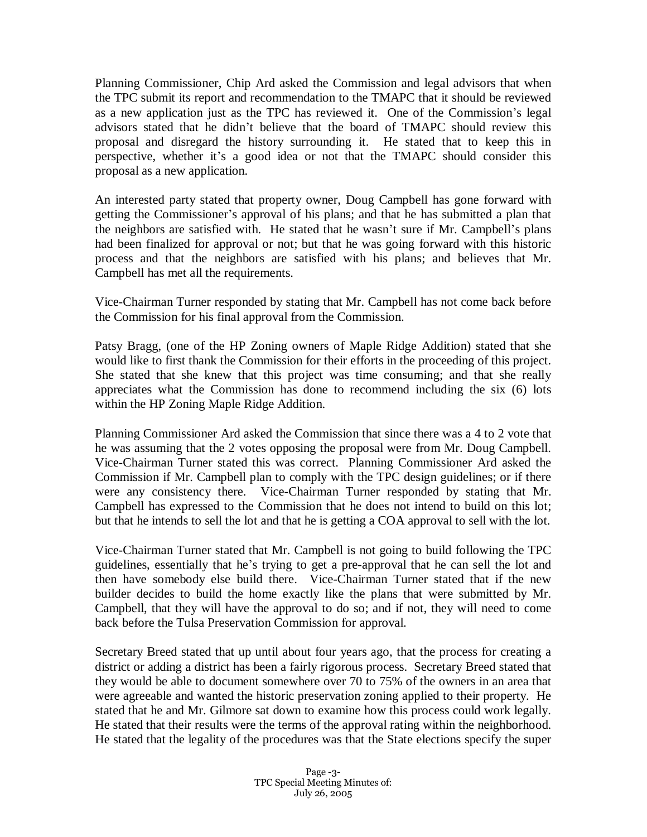Planning Commissioner, Chip Ard asked the Commission and legal advisors that when the TPC submit its report and recommendation to the TMAPC that it should be reviewed as a new application just as the TPC has reviewed it. One of the Commission's legal advisors stated that he didn't believe that the board of TMAPC should review this proposal and disregard the history surrounding it. He stated that to keep this in perspective, whether it's a good idea or not that the TMAPC should consider this proposal as a new application.

An interested party stated that property owner, Doug Campbell has gone forward with getting the Commissioner's approval of his plans; and that he has submitted a plan that the neighbors are satisfied with. He stated that he wasn't sure if Mr. Campbell's plans had been finalized for approval or not; but that he was going forward with this historic process and that the neighbors are satisfied with his plans; and believes that Mr. Campbell has met all the requirements.

Vice-Chairman Turner responded by stating that Mr. Campbell has not come back before the Commission for his final approval from the Commission.

Patsy Bragg, (one of the HP Zoning owners of Maple Ridge Addition) stated that she would like to first thank the Commission for their efforts in the proceeding of this project. She stated that she knew that this project was time consuming; and that she really appreciates what the Commission has done to recommend including the six (6) lots within the HP Zoning Maple Ridge Addition.

Planning Commissioner Ard asked the Commission that since there was a 4 to 2 vote that he was assuming that the 2 votes opposing the proposal were from Mr. Doug Campbell. Vice-Chairman Turner stated this was correct. Planning Commissioner Ard asked the Commission if Mr. Campbell plan to comply with the TPC design guidelines; or if there were any consistency there. Vice-Chairman Turner responded by stating that Mr. Campbell has expressed to the Commission that he does not intend to build on this lot; but that he intends to sell the lot and that he is getting a COA approval to sell with the lot.

Vice-Chairman Turner stated that Mr. Campbell is not going to build following the TPC guidelines, essentially that he's trying to get a pre-approval that he can sell the lot and then have somebody else build there. Vice-Chairman Turner stated that if the new builder decides to build the home exactly like the plans that were submitted by Mr. Campbell, that they will have the approval to do so; and if not, they will need to come back before the Tulsa Preservation Commission for approval.

Secretary Breed stated that up until about four years ago, that the process for creating a district or adding a district has been a fairly rigorous process. Secretary Breed stated that they would be able to document somewhere over 70 to 75% of the owners in an area that were agreeable and wanted the historic preservation zoning applied to their property. He stated that he and Mr. Gilmore sat down to examine how this process could work legally. He stated that their results were the terms of the approval rating within the neighborhood. He stated that the legality of the procedures was that the State elections specify the super